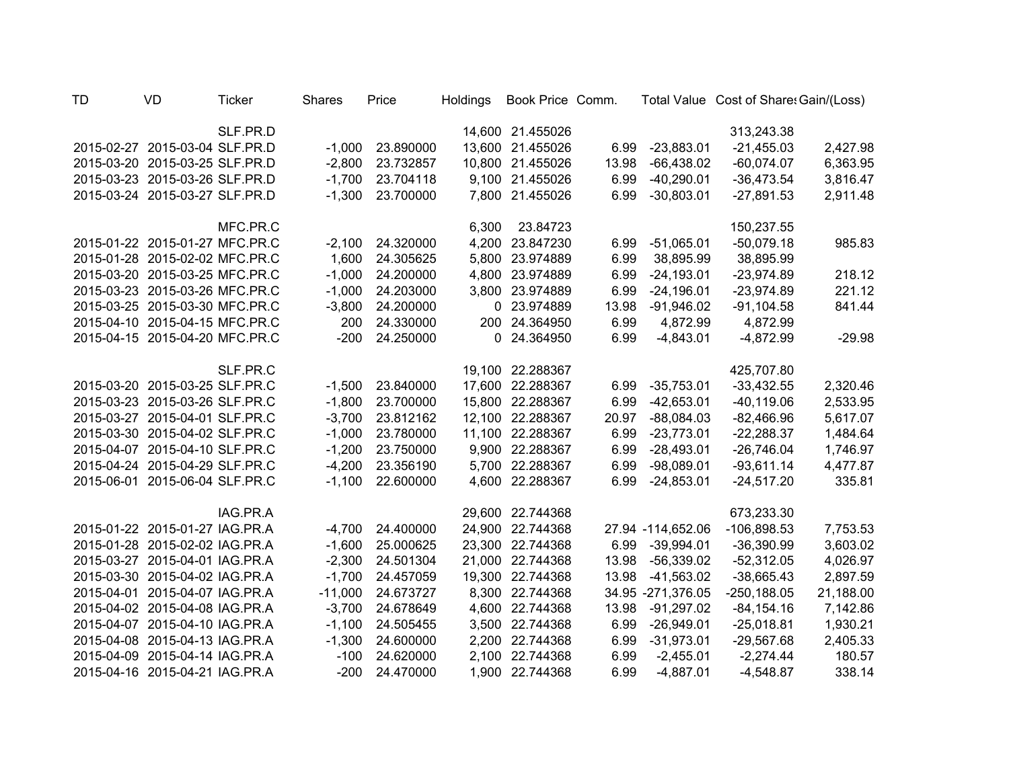| TD | VD                             | <b>Ticker</b> | <b>Shares</b> | Price     | <b>Holdings</b> | Book Price Comm. |       |                   | Total Value Cost of Share: Gain/(Loss) |           |
|----|--------------------------------|---------------|---------------|-----------|-----------------|------------------|-------|-------------------|----------------------------------------|-----------|
|    |                                | SLF.PR.D      |               |           |                 | 14,600 21.455026 |       |                   | 313,243.38                             |           |
|    | 2015-02-27 2015-03-04 SLF.PR.D |               | $-1,000$      | 23.890000 |                 | 13,600 21.455026 | 6.99  | $-23,883.01$      | $-21,455.03$                           | 2,427.98  |
|    | 2015-03-20 2015-03-25 SLF.PR.D |               | $-2,800$      | 23.732857 |                 | 10,800 21.455026 | 13.98 | $-66,438.02$      | $-60,074.07$                           | 6,363.95  |
|    | 2015-03-23 2015-03-26 SLF.PR.D |               | $-1,700$      | 23.704118 |                 | 9,100 21.455026  | 6.99  | $-40,290.01$      | $-36,473.54$                           | 3,816.47  |
|    | 2015-03-24 2015-03-27 SLF.PR.D |               | $-1,300$      | 23.700000 |                 | 7,800 21.455026  | 6.99  | $-30,803.01$      | $-27,891.53$                           | 2,911.48  |
|    |                                | MFC.PR.C      |               |           | 6,300           | 23.84723         |       |                   | 150,237.55                             |           |
|    | 2015-01-22 2015-01-27 MFC.PR.C |               | $-2,100$      | 24.320000 |                 | 4,200 23.847230  | 6.99  | $-51,065.01$      | $-50,079.18$                           | 985.83    |
|    | 2015-01-28 2015-02-02 MFC.PR.C |               | 1,600         | 24.305625 |                 | 5,800 23.974889  | 6.99  | 38,895.99         | 38,895.99                              |           |
|    | 2015-03-20 2015-03-25 MFC.PR.C |               | $-1,000$      | 24.200000 |                 | 4,800 23.974889  | 6.99  | $-24,193.01$      | $-23,974.89$                           | 218.12    |
|    | 2015-03-23 2015-03-26 MFC.PR.C |               | $-1,000$      | 24.203000 |                 | 3,800 23.974889  | 6.99  | $-24,196.01$      | $-23,974.89$                           | 221.12    |
|    | 2015-03-25 2015-03-30 MFC.PR.C |               | $-3,800$      | 24.200000 |                 | 0 23.974889      | 13.98 | $-91,946.02$      | $-91,104.58$                           | 841.44    |
|    | 2015-04-10 2015-04-15 MFC.PR.C |               | 200           | 24.330000 |                 | 200 24.364950    | 6.99  | 4,872.99          | 4,872.99                               |           |
|    | 2015-04-15 2015-04-20 MFC.PR.C |               | $-200$        | 24.250000 |                 | 0 24.364950      | 6.99  | $-4,843.01$       | $-4,872.99$                            | $-29.98$  |
|    |                                | SLF.PR.C      |               |           |                 | 19,100 22.288367 |       |                   | 425,707.80                             |           |
|    | 2015-03-20 2015-03-25 SLF.PR.C |               | $-1,500$      | 23.840000 |                 | 17,600 22.288367 | 6.99  | $-35,753.01$      | $-33,432.55$                           | 2,320.46  |
|    | 2015-03-23 2015-03-26 SLF.PR.C |               | $-1,800$      | 23.700000 |                 | 15,800 22.288367 | 6.99  | $-42,653.01$      | $-40,119.06$                           | 2,533.95  |
|    | 2015-03-27 2015-04-01 SLF.PR.C |               | $-3,700$      | 23.812162 |                 | 12,100 22.288367 | 20.97 | $-88,084.03$      | $-82,466.96$                           | 5,617.07  |
|    | 2015-03-30 2015-04-02 SLF.PR.C |               | $-1,000$      | 23.780000 | 11,100          | 22.288367        | 6.99  | $-23,773.01$      | $-22,288.37$                           | 1,484.64  |
|    | 2015-04-07 2015-04-10 SLF.PR.C |               | $-1,200$      | 23.750000 |                 | 9,900 22.288367  | 6.99  | $-28,493.01$      | $-26,746.04$                           | 1,746.97  |
|    | 2015-04-24 2015-04-29 SLF.PR.C |               | $-4,200$      | 23.356190 | 5,700           | 22.288367        | 6.99  | $-98,089.01$      | $-93,611.14$                           | 4,477.87  |
|    | 2015-06-01 2015-06-04 SLF.PR.C |               | $-1,100$      | 22.600000 | 4,600           | 22.288367        | 6.99  | $-24,853.01$      | $-24,517.20$                           | 335.81    |
|    |                                | IAG.PR.A      |               |           |                 | 29,600 22.744368 |       |                   | 673,233.30                             |           |
|    | 2015-01-22 2015-01-27 IAG.PR.A |               | $-4,700$      | 24.400000 |                 | 24,900 22.744368 |       | 27.94 -114,652.06 | $-106,898.53$                          | 7,753.53  |
|    | 2015-01-28 2015-02-02 IAG.PR.A |               | $-1,600$      | 25.000625 |                 | 23,300 22.744368 |       | 6.99 -39,994.01   | $-36,390.99$                           | 3,603.02  |
|    | 2015-03-27 2015-04-01 IAG.PR.A |               | $-2,300$      | 24.501304 |                 | 21,000 22.744368 | 13.98 | $-56,339.02$      | $-52,312.05$                           | 4,026.97  |
|    | 2015-03-30 2015-04-02 IAG.PR.A |               | $-1,700$      | 24.457059 |                 | 19,300 22.744368 | 13.98 | $-41,563.02$      | $-38,665.43$                           | 2,897.59  |
|    | 2015-04-01 2015-04-07 IAG.PR.A |               | $-11,000$     | 24.673727 |                 | 8,300 22.744368  |       | 34.95 -271,376.05 | $-250, 188.05$                         | 21,188.00 |
|    | 2015-04-02 2015-04-08 IAG.PR.A |               | $-3,700$      | 24.678649 |                 | 4,600 22.744368  | 13.98 | $-91,297.02$      | $-84, 154.16$                          | 7,142.86  |
|    | 2015-04-07 2015-04-10 IAG.PR.A |               | $-1,100$      | 24.505455 |                 | 3,500 22.744368  | 6.99  | $-26,949.01$      | $-25,018.81$                           | 1,930.21  |
|    | 2015-04-08 2015-04-13 IAG.PR.A |               | $-1,300$      | 24.600000 |                 | 2,200 22.744368  | 6.99  | $-31,973.01$      | $-29,567.68$                           | 2,405.33  |
|    | 2015-04-09 2015-04-14 IAG.PR.A |               | $-100$        | 24.620000 |                 | 2,100 22.744368  | 6.99  | $-2,455.01$       | $-2,274.44$                            | 180.57    |
|    | 2015-04-16 2015-04-21 IAG.PR.A |               | $-200$        | 24.470000 |                 | 1,900 22.744368  | 6.99  | $-4,887.01$       | $-4,548.87$                            | 338.14    |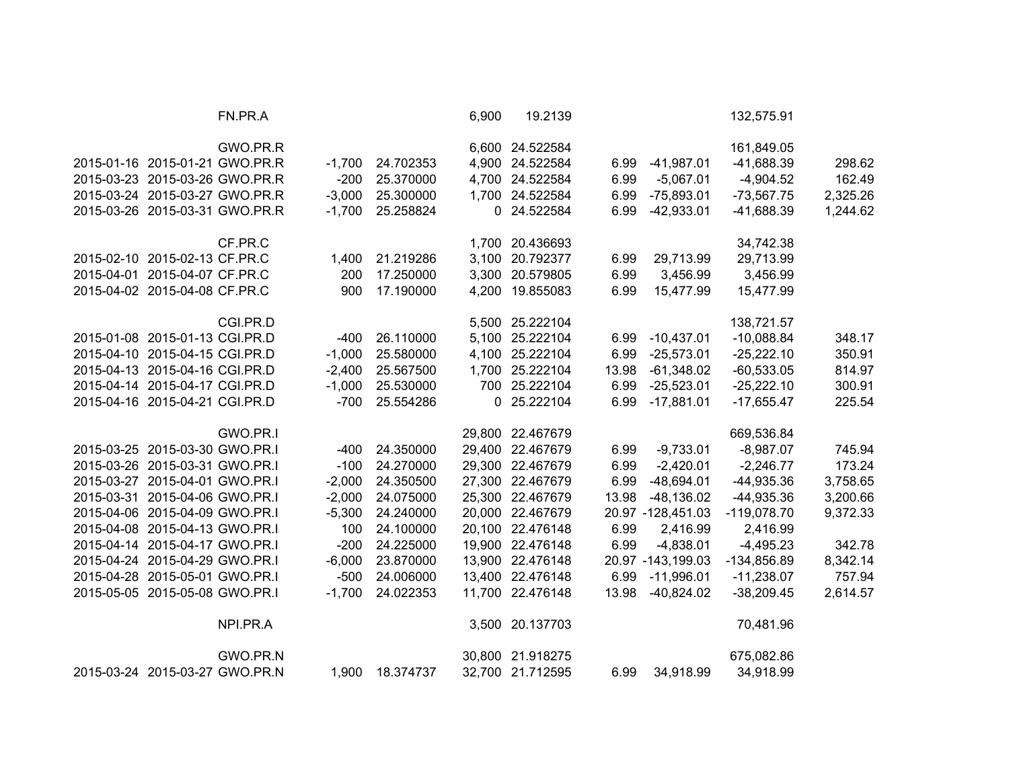|                                | FN.PR.A                        |          |           | 6,900 | 19.2139          |       |                   | 132,575.91    |          |
|--------------------------------|--------------------------------|----------|-----------|-------|------------------|-------|-------------------|---------------|----------|
|                                | GWO.PR.R                       |          |           |       | 6,600 24.522584  |       |                   | 161,849.05    |          |
|                                | 2015-01-16 2015-01-21 GWO.PR.R | $-1,700$ | 24.702353 |       | 4,900 24.522584  | 6.99  | $-41,987.01$      | $-41,688.39$  | 298.62   |
|                                | 2015-03-23 2015-03-26 GWO.PR.R | $-200$   | 25.370000 |       | 4,700 24.522584  | 6.99  | $-5,067.01$       | $-4,904.52$   | 162.49   |
|                                | 2015-03-24 2015-03-27 GWO.PR.R | $-3,000$ | 25.300000 |       | 1,700 24.522584  | 6.99  | $-75,893.01$      | $-73,567.75$  | 2,325.26 |
|                                | 2015-03-26 2015-03-31 GWO.PR.R | $-1,700$ | 25.258824 |       | 0 24.522584      | 6.99  | $-42,933.01$      | $-41,688.39$  | 1,244.62 |
|                                | CF.PR.C                        |          |           |       | 1,700 20.436693  |       |                   | 34,742.38     |          |
| 2015-02-10 2015-02-13 CF.PR.C  |                                | 1,400    | 21.219286 |       | 3,100 20.792377  | 6.99  | 29,713.99         | 29,713.99     |          |
| 2015-04-01 2015-04-07 CF.PR.C  |                                | 200      | 17.250000 |       | 3,300 20.579805  | 6.99  | 3,456.99          | 3,456.99      |          |
| 2015-04-02 2015-04-08 CF.PR.C  |                                | 900      | 17.190000 |       | 4,200 19.855083  | 6.99  | 15,477.99         | 15,477.99     |          |
|                                | CGI.PR.D                       |          |           |       | 5,500 25.222104  |       |                   | 138,721.57    |          |
| 2015-01-08 2015-01-13 CGI.PR.D |                                | $-400$   | 26.110000 |       | 5,100 25.222104  | 6.99  | $-10,437.01$      | $-10,088.84$  | 348.17   |
| 2015-04-10 2015-04-15 CGI.PR.D |                                | $-1,000$ | 25.580000 |       | 4,100 25.222104  | 6.99  | $-25,573.01$      | $-25,222.10$  | 350.91   |
| 2015-04-13 2015-04-16 CGI.PR.D |                                | $-2,400$ | 25.567500 |       | 1,700 25.222104  | 13.98 | $-61,348.02$      | $-60,533.05$  | 814.97   |
| 2015-04-14 2015-04-17 CGI.PR.D |                                | $-1,000$ | 25.530000 |       | 700 25.222104    | 6.99  | $-25,523.01$      | $-25,222.10$  | 300.91   |
| 2015-04-16 2015-04-21 CGI.PR.D |                                | $-700$   | 25.554286 |       | 0 25.222104      | 6.99  | $-17,881.01$      | $-17,655.47$  | 225.54   |
|                                | GWO.PR.I                       |          |           |       | 29,800 22.467679 |       |                   | 669,536.84    |          |
| 2015-03-25 2015-03-30 GWO.PR.I |                                | $-400$   | 24.350000 |       | 29,400 22.467679 | 6.99  | $-9,733.01$       | $-8,987.07$   | 745.94   |
| 2015-03-26 2015-03-31 GWO.PR.I |                                | $-100$   | 24.270000 |       | 29,300 22.467679 | 6.99  | $-2,420.01$       | $-2,246.77$   | 173.24   |
| 2015-03-27 2015-04-01 GWO.PR.I |                                | $-2,000$ | 24.350500 |       | 27,300 22.467679 | 6.99  | $-48,694.01$      | $-44,935.36$  | 3,758.65 |
| 2015-03-31 2015-04-06 GWO.PR.I |                                | $-2,000$ | 24.075000 |       | 25,300 22.467679 | 13.98 | $-48,136.02$      | -44,935.36    | 3,200.66 |
| 2015-04-06 2015-04-09 GWO.PR.I |                                | $-5,300$ | 24.240000 |       | 20,000 22.467679 |       | 20.97 -128,451.03 | $-119,078.70$ | 9,372.33 |
| 2015-04-08 2015-04-13 GWO.PR.I |                                | 100      | 24.100000 |       | 20,100 22.476148 | 6.99  | 2,416.99          | 2,416.99      |          |
| 2015-04-14 2015-04-17 GWO.PR.I |                                | $-200$   | 24.225000 |       | 19,900 22.476148 | 6.99  | $-4,838.01$       | $-4,495.23$   | 342.78   |
| 2015-04-24 2015-04-29 GWO.PR.I |                                | $-6,000$ | 23.870000 |       | 13,900 22.476148 |       | 20.97 -143,199.03 | $-134,856.89$ | 8,342.14 |
| 2015-04-28 2015-05-01 GWO.PR.I |                                | $-500$   | 24.006000 |       | 13,400 22.476148 | 6.99  | $-11,996.01$      | $-11,238.07$  | 757.94   |
| 2015-05-05 2015-05-08 GWO.PR.I |                                | $-1,700$ | 24.022353 |       | 11,700 22.476148 | 13.98 | $-40,824.02$      | $-38,209.45$  | 2,614.57 |
|                                | NPI.PR.A                       |          |           |       | 3,500 20.137703  |       |                   | 70,481.96     |          |
|                                | GWO.PR.N                       |          |           |       | 30,800 21.918275 |       |                   | 675,082.86    |          |
| 2015-03-24 2015-03-27 GWO.PR.N |                                | 1,900    | 18.374737 |       | 32,700 21.712595 | 6.99  | 34,918.99         | 34,918.99     |          |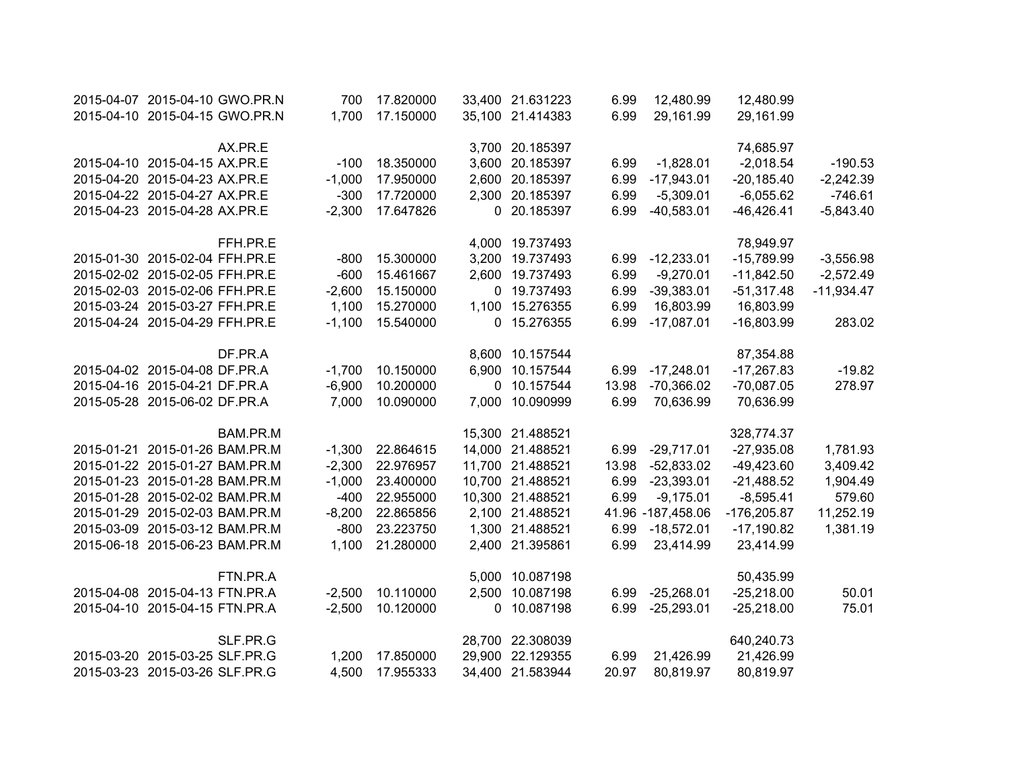| 2015-04-07 2015-04-10 GWO.PR.N |                                | 700      | 17.820000 | 33,400 21.631223 | 6.99  | 12,480.99         | 12,480.99     |              |
|--------------------------------|--------------------------------|----------|-----------|------------------|-------|-------------------|---------------|--------------|
|                                | 2015-04-10 2015-04-15 GWO.PR.N | 1,700    | 17.150000 | 35,100 21.414383 | 6.99  | 29,161.99         | 29,161.99     |              |
|                                |                                |          |           |                  |       |                   |               |              |
|                                | AX.PR.E                        |          |           | 3,700 20.185397  |       |                   | 74,685.97     |              |
| 2015-04-10 2015-04-15 AX.PR.E  |                                | $-100$   | 18.350000 | 3,600 20.185397  | 6.99  | $-1,828.01$       | $-2,018.54$   | $-190.53$    |
| 2015-04-20 2015-04-23 AX.PR.E  |                                | $-1,000$ | 17.950000 | 2,600 20.185397  | 6.99  | $-17,943.01$      | $-20,185.40$  | $-2,242.39$  |
| 2015-04-22 2015-04-27 AX.PR.E  |                                | $-300$   | 17.720000 | 2,300 20.185397  | 6.99  | $-5,309.01$       | $-6,055.62$   | $-746.61$    |
| 2015-04-23 2015-04-28 AX.PR.E  |                                | $-2,300$ | 17.647826 | 0 20.185397      | 6.99  | $-40,583.01$      | $-46,426.41$  | $-5,843.40$  |
|                                | FFH.PR.E                       |          |           | 4,000 19.737493  |       |                   | 78,949.97     |              |
| 2015-01-30 2015-02-04 FFH.PR.E |                                | $-800$   | 15.300000 | 3,200 19.737493  | 6.99  | $-12,233.01$      | $-15,789.99$  | $-3,556.98$  |
| 2015-02-02 2015-02-05 FFH.PR.E |                                | $-600$   | 15.461667 | 2,600 19.737493  | 6.99  | $-9,270.01$       | $-11,842.50$  | $-2,572.49$  |
| 2015-02-03 2015-02-06 FFH.PR.E |                                | $-2,600$ | 15.150000 | 0 19.737493      | 6.99  | $-39,383.01$      | $-51,317.48$  | $-11,934.47$ |
| 2015-03-24 2015-03-27 FFH.PR.E |                                | 1,100    | 15.270000 | 1,100 15.276355  | 6.99  | 16,803.99         | 16,803.99     |              |
| 2015-04-24 2015-04-29 FFH.PR.E |                                | $-1,100$ | 15.540000 | 0 15.276355      | 6.99  | $-17,087.01$      | $-16,803.99$  | 283.02       |
|                                |                                |          |           |                  |       |                   |               |              |
|                                | DF.PR.A                        |          |           | 8,600 10.157544  |       |                   | 87,354.88     |              |
| 2015-04-02 2015-04-08 DF.PR.A  |                                | $-1,700$ | 10.150000 | 6,900 10.157544  | 6.99  | $-17,248.01$      | $-17,267.83$  | $-19.82$     |
| 2015-04-16 2015-04-21 DF.PR.A  |                                | $-6,900$ | 10.200000 | 0 10.157544      | 13.98 | $-70,366.02$      | $-70,087.05$  | 278.97       |
| 2015-05-28 2015-06-02 DF.PR.A  |                                | 7,000    | 10.090000 | 7,000 10.090999  | 6.99  | 70,636.99         | 70,636.99     |              |
|                                | BAM.PR.M                       |          |           | 15,300 21.488521 |       |                   | 328,774.37    |              |
| 2015-01-21 2015-01-26 BAM.PR.M |                                | $-1,300$ | 22.864615 | 14,000 21.488521 | 6.99  | $-29,717.01$      | $-27,935.08$  | 1,781.93     |
| 2015-01-22 2015-01-27 BAM.PR.M |                                | $-2,300$ | 22.976957 | 11,700 21.488521 | 13.98 | $-52,833.02$      | $-49,423.60$  | 3,409.42     |
| 2015-01-23 2015-01-28 BAM.PR.M |                                | $-1,000$ | 23.400000 | 10,700 21.488521 | 6.99  | $-23,393.01$      | $-21,488.52$  | 1,904.49     |
| 2015-01-28 2015-02-02 BAM.PR.M |                                | $-400$   | 22.955000 | 10,300 21.488521 | 6.99  | $-9,175.01$       | $-8,595.41$   | 579.60       |
| 2015-01-29 2015-02-03 BAM.PR.M |                                | $-8,200$ | 22.865856 | 2,100 21.488521  |       | 41.96 -187,458.06 | $-176,205.87$ | 11,252.19    |
| 2015-03-09 2015-03-12 BAM.PR.M |                                | $-800$   | 23.223750 | 1,300 21.488521  | 6.99  | $-18,572.01$      | $-17,190.82$  | 1,381.19     |
| 2015-06-18 2015-06-23 BAM.PR.M |                                | 1,100    | 21.280000 | 2,400 21.395861  | 6.99  | 23,414.99         | 23,414.99     |              |
|                                | FTN.PR.A                       |          |           | 5,000 10.087198  |       |                   | 50,435.99     |              |
| 2015-04-08 2015-04-13 FTN.PR.A |                                | $-2,500$ | 10.110000 | 2,500 10.087198  | 6.99  | $-25,268.01$      | $-25,218.00$  | 50.01        |
| 2015-04-10 2015-04-15 FTN.PR.A |                                | $-2,500$ | 10.120000 | 0 10.087198      | 6.99  | $-25,293.01$      | $-25,218.00$  | 75.01        |
|                                |                                |          |           |                  |       |                   |               |              |
|                                | SLF.PR.G                       |          |           | 28,700 22.308039 |       |                   | 640,240.73    |              |
| 2015-03-20 2015-03-25 SLF.PR.G |                                | 1,200    | 17.850000 | 29,900 22.129355 | 6.99  | 21,426.99         | 21,426.99     |              |
| 2015-03-23 2015-03-26 SLF.PR.G |                                | 4,500    | 17.955333 | 34,400 21.583944 | 20.97 | 80,819.97         | 80,819.97     |              |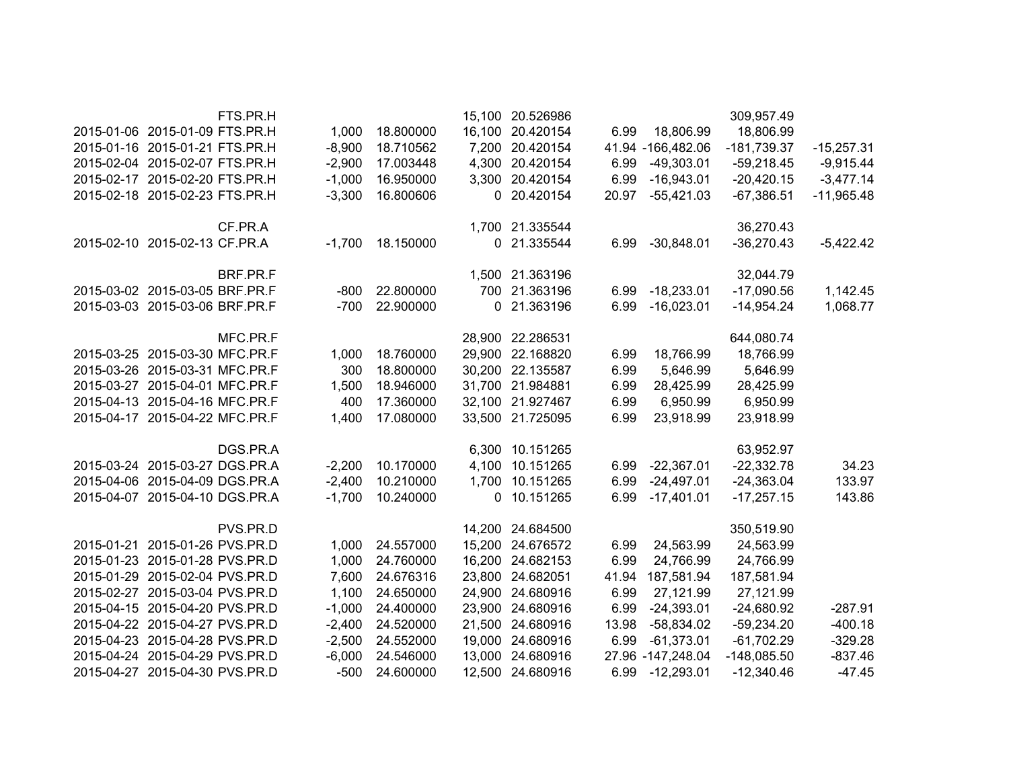|              | 309,957.49    |                     |       | 15,100 20.526986 |           |          | FTS.PR.H                       |  |
|--------------|---------------|---------------------|-------|------------------|-----------|----------|--------------------------------|--|
|              | 18,806.99     | 18,806.99           | 6.99  | 16,100 20.420154 | 18.800000 | 1,000    | 2015-01-06 2015-01-09 FTS.PR.H |  |
| $-15,257.31$ | $-181,739.37$ | 41.94 - 166, 482.06 |       | 7,200 20.420154  | 18.710562 | $-8,900$ | 2015-01-16 2015-01-21 FTS.PR.H |  |
| $-9,915.44$  | $-59,218.45$  | $-49,303.01$        | 6.99  | 4,300 20.420154  | 17.003448 | $-2,900$ | 2015-02-04 2015-02-07 FTS.PR.H |  |
| $-3,477.14$  | $-20,420.15$  | $-16,943.01$        | 6.99  | 3,300 20.420154  | 16.950000 | $-1,000$ | 2015-02-17 2015-02-20 FTS.PR.H |  |
| $-11,965.48$ | $-67,386.51$  | $-55,421.03$        | 20.97 | 0 20.420154      | 16.800606 | $-3,300$ | 2015-02-18 2015-02-23 FTS.PR.H |  |
|              | 36,270.43     |                     |       | 1,700 21.335544  |           |          | CF.PR.A                        |  |
| $-5,422.42$  | $-36,270.43$  | $-30,848.01$        | 6.99  | 0 21.335544      | 18.150000 | $-1,700$ | 2015-02-10 2015-02-13 CF.PR.A  |  |
|              | 32,044.79     |                     |       | 1,500 21.363196  |           |          | BRF.PR.F                       |  |
| 1,142.45     | $-17,090.56$  | $-18,233.01$        | 6.99  | 700 21.363196    | 22.800000 | $-800$   | 2015-03-02 2015-03-05 BRF.PR.F |  |
| 1,068.77     | $-14,954.24$  | $-16,023.01$        | 6.99  | 0 21.363196      | 22.900000 | $-700$   | 2015-03-03 2015-03-06 BRF.PR.F |  |
|              | 644,080.74    |                     |       | 28,900 22.286531 |           |          | MFC.PR.F                       |  |
|              | 18,766.99     | 18,766.99           | 6.99  | 29,900 22.168820 | 18.760000 | 1,000    | 2015-03-25 2015-03-30 MFC.PR.F |  |
|              | 5,646.99      | 5,646.99            | 6.99  | 30,200 22.135587 | 18.800000 | 300      | 2015-03-26 2015-03-31 MFC.PR.F |  |
|              | 28,425.99     | 28,425.99           | 6.99  | 31,700 21.984881 | 18.946000 | 1,500    | 2015-03-27 2015-04-01 MFC.PR.F |  |
|              | 6,950.99      | 6,950.99            | 6.99  | 32,100 21.927467 | 17.360000 | 400      | 2015-04-13 2015-04-16 MFC.PR.F |  |
|              | 23,918.99     | 23,918.99           | 6.99  | 33,500 21.725095 | 17.080000 | 1,400    | 2015-04-17 2015-04-22 MFC.PR.F |  |
|              | 63,952.97     |                     |       | 6,300 10.151265  |           |          | DGS.PR.A                       |  |
| 34.23        | $-22,332.78$  | $-22,367.01$        | 6.99  | 4,100 10.151265  | 10.170000 | $-2,200$ | 2015-03-24 2015-03-27 DGS.PR.A |  |
| 133.97       | $-24,363.04$  | $-24,497.01$        | 6.99  | 1,700 10.151265  | 10.210000 | $-2,400$ | 2015-04-06 2015-04-09 DGS.PR.A |  |
| 143.86       | $-17,257.15$  | $-17,401.01$        | 6.99  | 0 10.151265      | 10.240000 | $-1,700$ | 2015-04-07 2015-04-10 DGS.PR.A |  |
|              | 350,519.90    |                     |       | 14,200 24.684500 |           |          | PVS.PR.D                       |  |
|              | 24,563.99     | 24,563.99           | 6.99  | 15,200 24.676572 | 24.557000 | 1,000    | 2015-01-21 2015-01-26 PVS.PR.D |  |
|              | 24,766.99     | 24,766.99           | 6.99  | 16,200 24.682153 | 24.760000 | 1,000    | 2015-01-23 2015-01-28 PVS.PR.D |  |
|              | 187,581.94    | 187,581.94          | 41.94 | 23,800 24.682051 | 24.676316 | 7,600    | 2015-01-29 2015-02-04 PVS.PR.D |  |
|              | 27,121.99     | 27,121.99           | 6.99  | 24,900 24.680916 | 24.650000 | 1,100    | 2015-02-27 2015-03-04 PVS.PR.D |  |
| $-287.91$    | $-24,680.92$  | $-24,393.01$        | 6.99  | 23,900 24.680916 | 24.400000 | $-1,000$ | 2015-04-15 2015-04-20 PVS.PR.D |  |
| $-400.18$    | $-59,234.20$  | $-58,834.02$        | 13.98 | 21,500 24.680916 | 24.520000 | $-2,400$ | 2015-04-22 2015-04-27 PVS.PR.D |  |
| $-329.28$    | $-61,702.29$  | $-61,373.01$        | 6.99  | 19,000 24.680916 | 24.552000 | $-2,500$ | 2015-04-23 2015-04-28 PVS.PR.D |  |
| $-837.46$    | $-148,085.50$ | 27.96 - 147, 248.04 |       | 13,000 24.680916 | 24.546000 | $-6,000$ | 2015-04-24 2015-04-29 PVS.PR.D |  |
| $-47.45$     | $-12,340.46$  | $-12,293.01$        | 6.99  | 12,500 24.680916 | 24.600000 | $-500$   | 2015-04-27 2015-04-30 PVS.PR.D |  |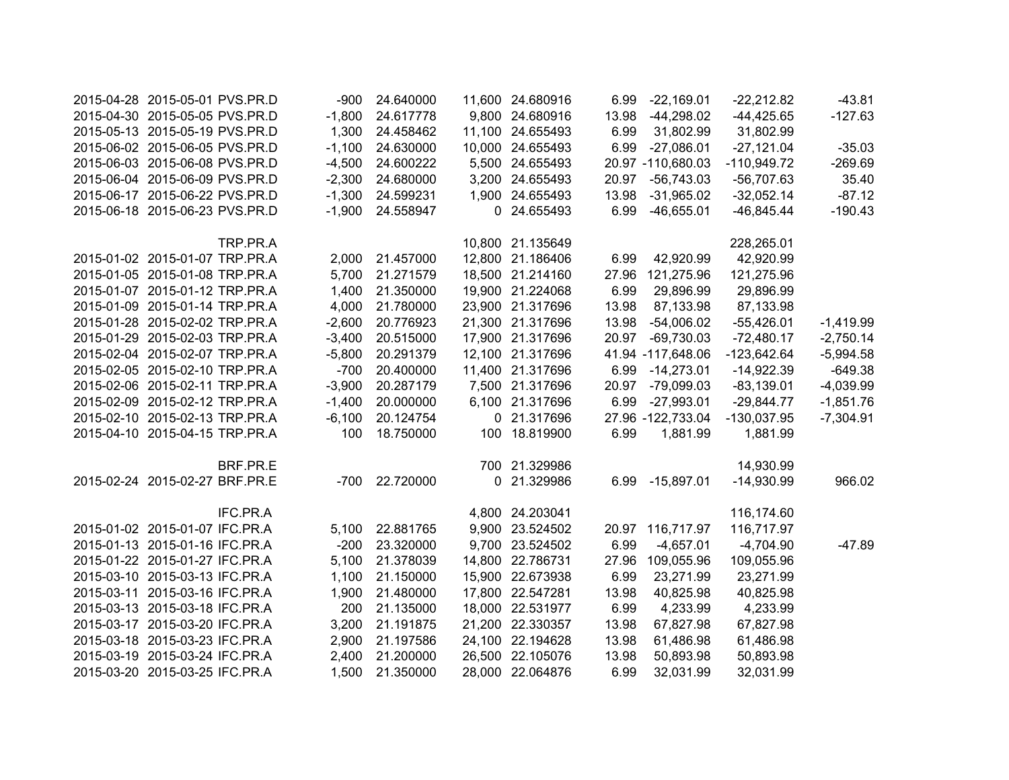| 2015-04-28 2015-05-01 PVS.PR.D |          | $-900$   | 24.640000 | 11,600 24.680916 | 6.99  | $-22,169.01$      | $-22,212.82$  | $-43.81$    |
|--------------------------------|----------|----------|-----------|------------------|-------|-------------------|---------------|-------------|
| 2015-04-30 2015-05-05 PVS.PR.D |          | $-1,800$ | 24.617778 | 9,800 24.680916  | 13.98 | $-44,298.02$      | $-44,425.65$  | $-127.63$   |
| 2015-05-13 2015-05-19 PVS.PR.D |          | 1,300    | 24.458462 | 11,100 24.655493 | 6.99  | 31,802.99         | 31,802.99     |             |
| 2015-06-02 2015-06-05 PVS.PR.D |          | $-1,100$ | 24.630000 | 10,000 24.655493 | 6.99  | $-27,086.01$      | $-27,121.04$  | $-35.03$    |
| 2015-06-03 2015-06-08 PVS.PR.D |          | $-4,500$ | 24.600222 | 5,500 24.655493  |       | 20.97 -110,680.03 | $-110,949.72$ | $-269.69$   |
| 2015-06-04 2015-06-09 PVS.PR.D |          |          | 24.680000 | 3,200 24.655493  | 20.97 | $-56,743.03$      | $-56,707.63$  | 35.40       |
|                                |          | $-2,300$ |           |                  |       |                   |               |             |
| 2015-06-17 2015-06-22 PVS.PR.D |          | $-1,300$ | 24.599231 | 1,900 24.655493  | 13.98 | $-31,965.02$      | $-32,052.14$  | $-87.12$    |
| 2015-06-18 2015-06-23 PVS.PR.D |          | $-1,900$ | 24.558947 | 0 24.655493      | 6.99  | $-46,655.01$      | $-46,845.44$  | $-190.43$   |
|                                | TRP.PR.A |          |           | 10,800 21.135649 |       |                   | 228,265.01    |             |
| 2015-01-02 2015-01-07 TRP.PR.A |          | 2,000    | 21.457000 | 12,800 21.186406 | 6.99  | 42,920.99         | 42,920.99     |             |
| 2015-01-05 2015-01-08 TRP.PR.A |          | 5,700    | 21.271579 | 18,500 21.214160 | 27.96 | 121,275.96        | 121,275.96    |             |
| 2015-01-07 2015-01-12 TRP.PR.A |          | 1,400    | 21.350000 | 19,900 21.224068 | 6.99  | 29,896.99         | 29,896.99     |             |
| 2015-01-09 2015-01-14 TRP.PR.A |          | 4,000    | 21.780000 | 23,900 21.317696 | 13.98 | 87,133.98         | 87,133.98     |             |
| 2015-01-28 2015-02-02 TRP.PR.A |          | $-2,600$ | 20.776923 | 21,300 21.317696 | 13.98 | $-54,006.02$      | $-55,426.01$  | $-1,419.99$ |
| 2015-01-29 2015-02-03 TRP.PR.A |          | $-3,400$ | 20.515000 | 17,900 21.317696 | 20.97 | $-69,730.03$      | $-72,480.17$  | $-2,750.14$ |
| 2015-02-04 2015-02-07 TRP.PR.A |          | $-5,800$ | 20.291379 | 12,100 21.317696 |       | 41.94 -117,648.06 | $-123,642.64$ | $-5,994.58$ |
| 2015-02-05 2015-02-10 TRP.PR.A |          | $-700$   | 20.400000 | 11,400 21.317696 |       | 6.99 - 14, 273.01 | $-14,922.39$  | $-649.38$   |
| 2015-02-06 2015-02-11 TRP.PR.A |          | $-3,900$ | 20.287179 | 7,500 21.317696  | 20.97 | $-79,099.03$      | $-83,139.01$  | $-4,039.99$ |
| 2015-02-09 2015-02-12 TRP.PR.A |          | $-1,400$ | 20.000000 | 6,100 21.317696  | 6.99  | $-27,993.01$      | $-29,844.77$  | $-1,851.76$ |
| 2015-02-10 2015-02-13 TRP.PR.A |          | $-6,100$ | 20.124754 | 0 21.317696      |       | 27.96 -122,733.04 | $-130,037.95$ | $-7,304.91$ |
|                                |          |          |           |                  |       |                   |               |             |
| 2015-04-10 2015-04-15 TRP.PR.A |          | 100      | 18.750000 | 100 18.819900    | 6.99  | 1,881.99          | 1,881.99      |             |
|                                | BRF.PR.E |          |           | 700 21.329986    |       |                   | 14,930.99     |             |
| 2015-02-24 2015-02-27 BRF.PR.E |          | -700     | 22.720000 | 0 21.329986      |       | 6.99 -15,897.01   | $-14,930.99$  | 966.02      |
|                                | IFC.PR.A |          |           | 4,800 24.203041  |       |                   | 116,174.60    |             |
| 2015-01-02 2015-01-07 IFC.PR.A |          |          |           | 9,900 23.524502  |       |                   | 116,717.97    |             |
|                                |          | 5,100    | 22.881765 |                  |       | 20.97 116,717.97  |               |             |
| 2015-01-13 2015-01-16 IFC.PR.A |          | $-200$   | 23.320000 | 9,700 23.524502  | 6.99  | $-4,657.01$       | $-4,704.90$   | $-47.89$    |
| 2015-01-22 2015-01-27 IFC.PR.A |          | 5,100    | 21.378039 | 14,800 22.786731 | 27.96 | 109,055.96        | 109,055.96    |             |
| 2015-03-10 2015-03-13 IFC.PR.A |          | 1,100    | 21.150000 | 15,900 22.673938 | 6.99  | 23,271.99         | 23,271.99     |             |
| 2015-03-11 2015-03-16 IFC.PR.A |          | 1,900    | 21.480000 | 17,800 22.547281 | 13.98 | 40,825.98         | 40,825.98     |             |
| 2015-03-13 2015-03-18 IFC.PR.A |          | 200      | 21.135000 | 18,000 22.531977 | 6.99  | 4,233.99          | 4,233.99      |             |
| 2015-03-17 2015-03-20 IFC.PR.A |          | 3,200    | 21.191875 | 21,200 22.330357 | 13.98 | 67,827.98         | 67,827.98     |             |
| 2015-03-18 2015-03-23 IFC.PR.A |          | 2,900    | 21.197586 | 24,100 22.194628 | 13.98 | 61,486.98         | 61,486.98     |             |
| 2015-03-19 2015-03-24 IFC.PR.A |          | 2,400    | 21.200000 | 26,500 22.105076 | 13.98 | 50,893.98         | 50,893.98     |             |
| 2015-03-20 2015-03-25 IFC.PR.A |          | 1,500    | 21.350000 | 28,000 22.064876 | 6.99  | 32,031.99         | 32,031.99     |             |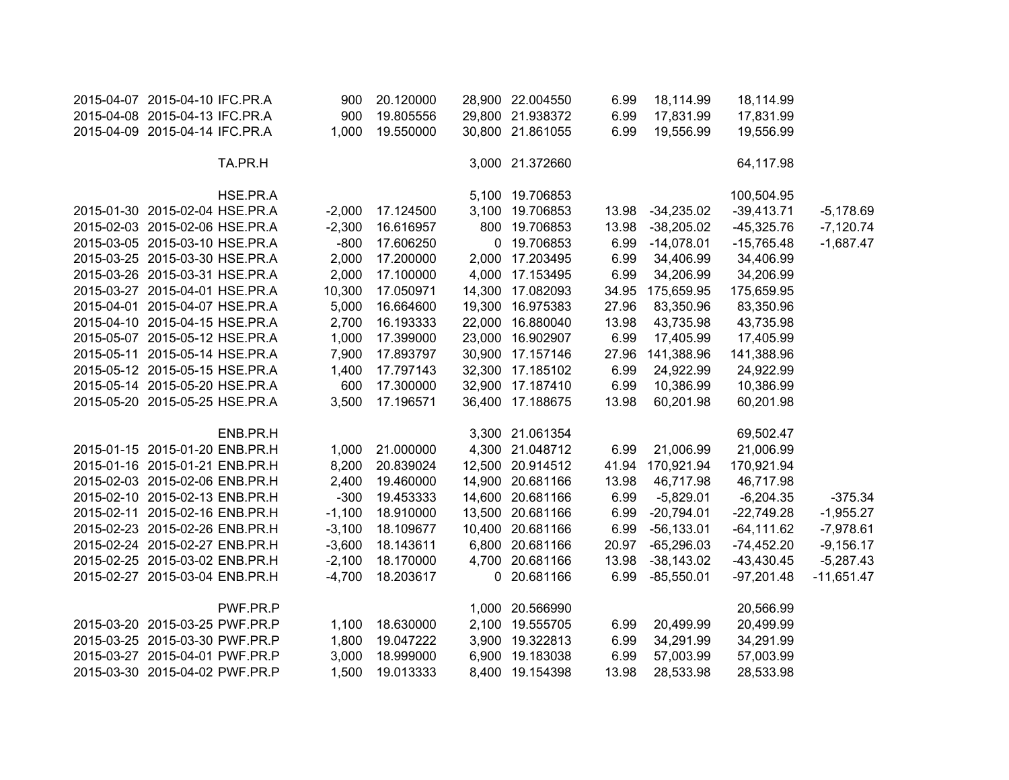| 2015-04-07 2015-04-10 IFC.PR.A |          | 900      | 20.120000 | 28,900 22.004550 | 6.99  | 18,114.99     | 18,114.99     |              |
|--------------------------------|----------|----------|-----------|------------------|-------|---------------|---------------|--------------|
| 2015-04-08 2015-04-13 IFC.PR.A |          | 900      | 19.805556 | 29,800 21.938372 | 6.99  | 17,831.99     | 17,831.99     |              |
| 2015-04-09 2015-04-14 IFC.PR.A |          | 1,000    | 19.550000 | 30,800 21.861055 | 6.99  | 19,556.99     | 19,556.99     |              |
|                                | TA.PR.H  |          |           | 3,000 21.372660  |       |               | 64,117.98     |              |
|                                | HSE.PR.A |          |           | 5,100 19.706853  |       |               | 100,504.95    |              |
| 2015-01-30 2015-02-04 HSE.PR.A |          | $-2,000$ | 17.124500 | 3,100 19.706853  | 13.98 | $-34,235.02$  | $-39,413.71$  | $-5,178.69$  |
| 2015-02-03 2015-02-06 HSE.PR.A |          | $-2,300$ | 16.616957 | 800 19.706853    | 13.98 | $-38,205.02$  | $-45,325.76$  | $-7,120.74$  |
| 2015-03-05 2015-03-10 HSE.PR.A |          | $-800$   | 17.606250 | 0 19.706853      | 6.99  | $-14,078.01$  | $-15,765.48$  | $-1,687.47$  |
| 2015-03-25 2015-03-30 HSE.PR.A |          | 2,000    | 17.200000 | 2,000 17.203495  | 6.99  | 34,406.99     | 34,406.99     |              |
| 2015-03-26 2015-03-31 HSE.PR.A |          | 2,000    | 17.100000 | 4,000 17.153495  | 6.99  | 34,206.99     | 34,206.99     |              |
| 2015-03-27 2015-04-01 HSE.PR.A |          | 10,300   | 17.050971 | 14,300 17.082093 | 34.95 | 175,659.95    | 175,659.95    |              |
| 2015-04-01 2015-04-07 HSE.PR.A |          | 5,000    | 16.664600 | 19,300 16.975383 | 27.96 | 83,350.96     | 83,350.96     |              |
| 2015-04-10 2015-04-15 HSE.PR.A |          | 2,700    | 16.193333 | 22,000 16.880040 | 13.98 | 43,735.98     | 43,735.98     |              |
| 2015-05-07 2015-05-12 HSE.PR.A |          | 1,000    | 17.399000 | 23,000 16.902907 | 6.99  | 17,405.99     | 17,405.99     |              |
| 2015-05-11 2015-05-14 HSE.PR.A |          | 7,900    | 17.893797 | 30,900 17.157146 | 27.96 | 141,388.96    | 141,388.96    |              |
| 2015-05-12 2015-05-15 HSE.PR.A |          | 1,400    | 17.797143 | 32,300 17.185102 | 6.99  | 24,922.99     | 24,922.99     |              |
| 2015-05-14 2015-05-20 HSE.PR.A |          | 600      | 17.300000 | 32,900 17.187410 | 6.99  | 10,386.99     | 10,386.99     |              |
| 2015-05-20 2015-05-25 HSE.PR.A |          | 3,500    | 17.196571 | 36,400 17.188675 | 13.98 | 60,201.98     | 60,201.98     |              |
|                                | ENB.PR.H |          |           | 3,300 21.061354  |       |               | 69,502.47     |              |
| 2015-01-15 2015-01-20 ENB.PR.H |          | 1,000    | 21.000000 | 4,300 21.048712  | 6.99  | 21,006.99     | 21,006.99     |              |
| 2015-01-16 2015-01-21 ENB.PR.H |          | 8,200    | 20.839024 | 12,500 20.914512 | 41.94 | 170,921.94    | 170,921.94    |              |
| 2015-02-03 2015-02-06 ENB.PR.H |          | 2,400    | 19.460000 | 14,900 20.681166 | 13.98 | 46,717.98     | 46,717.98     |              |
| 2015-02-10 2015-02-13 ENB.PR.H |          | $-300$   | 19.453333 | 14,600 20.681166 | 6.99  | $-5,829.01$   | $-6,204.35$   | $-375.34$    |
| 2015-02-11 2015-02-16 ENB.PR.H |          | $-1,100$ | 18.910000 | 13,500 20.681166 | 6.99  | $-20,794.01$  | $-22,749.28$  | $-1,955.27$  |
| 2015-02-23 2015-02-26 ENB.PR.H |          | $-3,100$ | 18.109677 | 10,400 20.681166 | 6.99  | $-56, 133.01$ | $-64, 111.62$ | $-7,978.61$  |
| 2015-02-24 2015-02-27 ENB.PR.H |          | $-3,600$ | 18.143611 | 6,800 20.681166  | 20.97 | $-65,296.03$  | $-74,452.20$  | $-9,156.17$  |
| 2015-02-25 2015-03-02 ENB.PR.H |          | $-2,100$ | 18.170000 | 4,700 20.681166  | 13.98 | $-38,143.02$  | $-43,430.45$  | $-5,287.43$  |
| 2015-02-27 2015-03-04 ENB.PR.H |          | $-4,700$ | 18.203617 | 0 20.681166      | 6.99  | $-85,550.01$  | $-97,201.48$  | $-11,651.47$ |
|                                | PWF.PR.P |          |           | 1,000 20.566990  |       |               | 20,566.99     |              |
| 2015-03-20 2015-03-25 PWF.PR.P |          | 1,100    | 18.630000 | 2,100 19.555705  | 6.99  | 20,499.99     | 20,499.99     |              |
| 2015-03-25 2015-03-30 PWF.PR.P |          | 1,800    | 19.047222 | 3,900 19.322813  | 6.99  | 34,291.99     | 34,291.99     |              |
| 2015-03-27 2015-04-01 PWF.PR.P |          | 3,000    | 18.999000 | 6,900 19.183038  | 6.99  | 57,003.99     | 57,003.99     |              |
| 2015-03-30 2015-04-02 PWF.PR.P |          | 1,500    | 19.013333 | 8,400 19.154398  | 13.98 | 28,533.98     | 28,533.98     |              |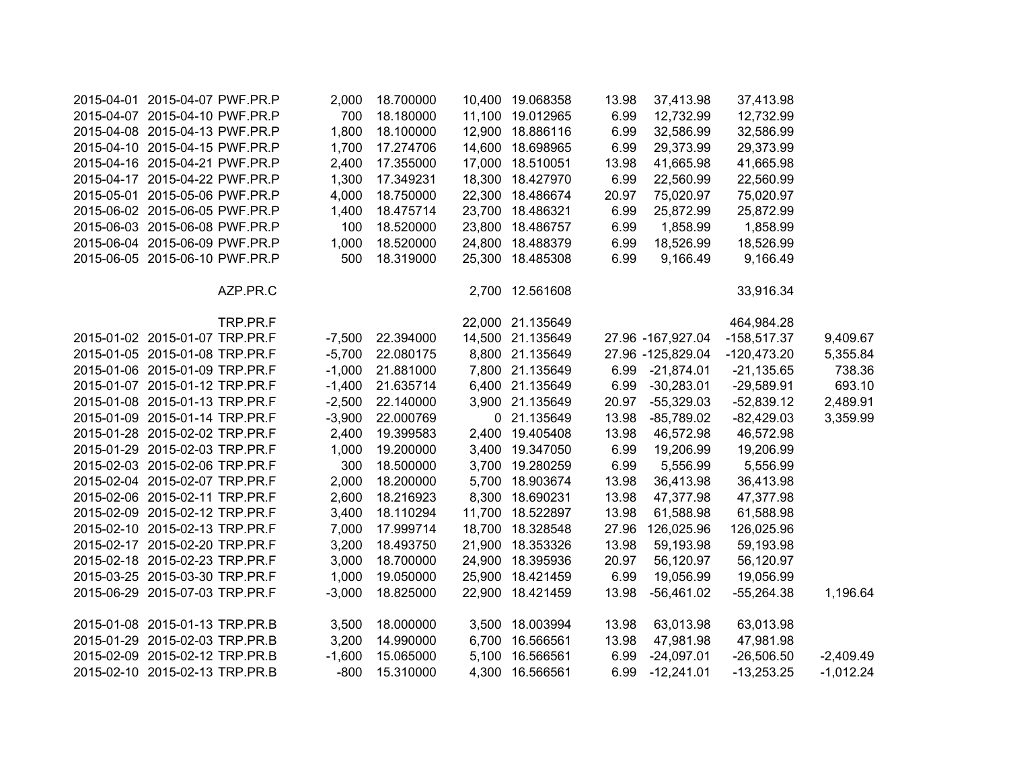| 2015-04-01 2015-04-07 PWF.PR.P |          | 2,000    | 18.700000        |       | 10,400 19.068358 | 13.98 | 37,413.98         | 37,413.98     |             |
|--------------------------------|----------|----------|------------------|-------|------------------|-------|-------------------|---------------|-------------|
| 2015-04-07 2015-04-10 PWF.PR.P |          | 700      | 18.180000        |       | 11,100 19.012965 | 6.99  | 12,732.99         | 12,732.99     |             |
| 2015-04-08 2015-04-13 PWF.PR.P |          | 1,800    | 18.100000        |       | 12,900 18.886116 | 6.99  | 32,586.99         | 32,586.99     |             |
| 2015-04-10 2015-04-15 PWF.PR.P |          | 1,700    | 17.274706        |       | 14,600 18.698965 | 6.99  | 29,373.99         | 29,373.99     |             |
| 2015-04-16 2015-04-21 PWF.PR.P |          | 2,400    | 17.355000        |       | 17,000 18.510051 | 13.98 | 41,665.98         | 41,665.98     |             |
| 2015-04-17 2015-04-22 PWF.PR.P |          | 1,300    | 17.349231        |       | 18,300 18.427970 | 6.99  | 22,560.99         | 22,560.99     |             |
| 2015-05-01 2015-05-06 PWF.PR.P |          | 4,000    | 18.750000        |       | 22,300 18.486674 | 20.97 | 75,020.97         | 75,020.97     |             |
| 2015-06-02 2015-06-05 PWF.PR.P |          | 1,400    | 18.475714        |       | 23,700 18.486321 | 6.99  | 25,872.99         | 25,872.99     |             |
| 2015-06-03 2015-06-08 PWF.PR.P |          | 100      | 18.520000        |       | 23,800 18.486757 | 6.99  | 1,858.99          | 1,858.99      |             |
| 2015-06-04 2015-06-09 PWF.PR.P |          | 1,000    | 18.520000        |       | 24,800 18.488379 | 6.99  | 18,526.99         | 18,526.99     |             |
| 2015-06-05 2015-06-10 PWF.PR.P |          | 500      | 18.319000        |       | 25,300 18.485308 | 6.99  | 9,166.49          | 9,166.49      |             |
|                                | AZP.PR.C |          |                  |       | 2,700 12.561608  |       |                   | 33,916.34     |             |
|                                | TRP.PR.F |          |                  |       | 22,000 21.135649 |       |                   | 464,984.28    |             |
| 2015-01-02 2015-01-07 TRP.PR.F |          |          | -7,500 22.394000 |       | 14,500 21.135649 |       | 27.96 -167,927.04 | $-158,517.37$ | 9,409.67    |
| 2015-01-05 2015-01-08 TRP.PR.F |          | $-5,700$ | 22.080175        |       | 8,800 21.135649  |       | 27.96 -125,829.04 | $-120,473.20$ | 5,355.84    |
| 2015-01-06 2015-01-09 TRP.PR.F |          | $-1,000$ | 21.881000        |       | 7,800 21.135649  |       | 6.99 -21,874.01   | $-21,135.65$  | 738.36      |
| 2015-01-07 2015-01-12 TRP.PR.F |          | $-1,400$ | 21.635714        |       | 6,400 21.135649  | 6.99  | $-30,283.01$      | $-29,589.91$  | 693.10      |
| 2015-01-08 2015-01-13 TRP.PR.F |          | $-2,500$ | 22.140000        |       | 3,900 21.135649  | 20.97 | $-55,329.03$      | $-52,839.12$  | 2,489.91    |
| 2015-01-09 2015-01-14 TRP.PR.F |          | $-3,900$ | 22.000769        |       | 0 21.135649      | 13.98 | $-85,789.02$      | $-82,429.03$  | 3,359.99    |
| 2015-01-28 2015-02-02 TRP.PR.F |          | 2,400    | 19.399583        |       | 2,400 19.405408  | 13.98 | 46,572.98         | 46,572.98     |             |
| 2015-01-29 2015-02-03 TRP.PR.F |          | 1,000    | 19.200000        |       | 3,400 19.347050  | 6.99  | 19,206.99         | 19,206.99     |             |
| 2015-02-03 2015-02-06 TRP.PR.F |          | 300      | 18.500000        |       | 3,700 19.280259  | 6.99  | 5,556.99          | 5,556.99      |             |
| 2015-02-04 2015-02-07 TRP.PR.F |          | 2,000    | 18.200000        |       | 5,700 18.903674  | 13.98 | 36,413.98         | 36,413.98     |             |
| 2015-02-06 2015-02-11 TRP.PR.F |          | 2,600    | 18.216923        |       | 8,300 18.690231  | 13.98 | 47,377.98         | 47,377.98     |             |
| 2015-02-09 2015-02-12 TRP.PR.F |          | 3,400    | 18.110294        |       | 11,700 18.522897 | 13.98 | 61,588.98         | 61,588.98     |             |
| 2015-02-10 2015-02-13 TRP.PR.F |          | 7,000    | 17.999714        |       | 18,700 18.328548 | 27.96 | 126,025.96        | 126,025.96    |             |
| 2015-02-17 2015-02-20 TRP.PR.F |          | 3,200    | 18.493750        |       | 21,900 18.353326 | 13.98 | 59,193.98         | 59,193.98     |             |
| 2015-02-18 2015-02-23 TRP.PR.F |          | 3,000    | 18.700000        |       | 24,900 18.395936 | 20.97 | 56,120.97         | 56,120.97     |             |
| 2015-03-25 2015-03-30 TRP.PR.F |          | 1,000    | 19.050000        |       | 25,900 18.421459 | 6.99  | 19,056.99         | 19,056.99     |             |
| 2015-06-29 2015-07-03 TRP.PR.F |          | $-3,000$ | 18.825000        |       | 22,900 18.421459 | 13.98 | $-56,461.02$      | $-55,264.38$  | 1,196.64    |
| 2015-01-08 2015-01-13 TRP.PR.B |          | 3,500    | 18.000000        |       | 3,500 18.003994  | 13.98 | 63,013.98         | 63,013.98     |             |
| 2015-01-29 2015-02-03 TRP.PR.B |          | 3,200    | 14.990000        |       | 6,700 16.566561  | 13.98 | 47,981.98         | 47,981.98     |             |
| 2015-02-09 2015-02-12 TRP.PR.B |          | $-1,600$ | 15.065000        | 5,100 | 16.566561        | 6.99  | $-24,097.01$      | $-26,506.50$  | $-2,409.49$ |
| 2015-02-10 2015-02-13 TRP.PR.B |          | $-800$   | 15.310000        |       | 4,300 16.566561  | 6.99  | $-12,241.01$      | $-13,253.25$  | $-1,012.24$ |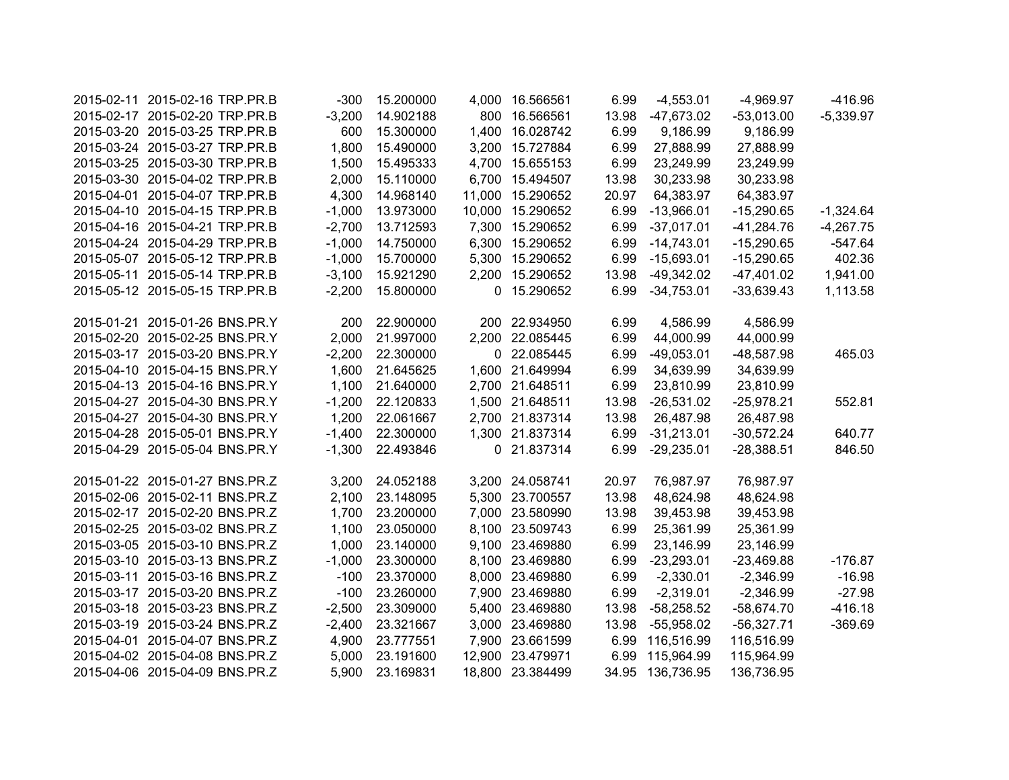| 2015-02-11 2015-02-16 TRP.PR.B | $-300$   | 15.200000 | 4,000 16.566561  | 6.99  | $-4,553.01$      | $-4,969.97$  | $-416.96$   |
|--------------------------------|----------|-----------|------------------|-------|------------------|--------------|-------------|
| 2015-02-17 2015-02-20 TRP.PR.B | $-3,200$ | 14.902188 | 800 16.566561    | 13.98 | -47,673.02       | $-53,013.00$ | $-5,339.97$ |
| 2015-03-20 2015-03-25 TRP.PR.B | 600      | 15.300000 | 1,400 16.028742  | 6.99  | 9,186.99         | 9,186.99     |             |
| 2015-03-24 2015-03-27 TRP.PR.B | 1,800    | 15.490000 | 3,200 15.727884  | 6.99  | 27,888.99        | 27,888.99    |             |
| 2015-03-25 2015-03-30 TRP.PR.B | 1,500    | 15.495333 | 4,700 15.655153  | 6.99  | 23,249.99        | 23,249.99    |             |
| 2015-03-30 2015-04-02 TRP.PR.B | 2,000    | 15.110000 | 6,700 15.494507  | 13.98 | 30,233.98        | 30,233.98    |             |
| 2015-04-01 2015-04-07 TRP.PR.B | 4,300    | 14.968140 | 11,000 15.290652 | 20.97 | 64,383.97        | 64,383.97    |             |
| 2015-04-10 2015-04-15 TRP.PR.B | $-1,000$ | 13.973000 | 10,000 15.290652 | 6.99  | $-13,966.01$     | $-15,290.65$ | $-1,324.64$ |
| 2015-04-16 2015-04-21 TRP.PR.B | $-2,700$ | 13.712593 | 7,300 15.290652  | 6.99  | $-37,017.01$     | $-41,284.76$ | $-4,267.75$ |
| 2015-04-24 2015-04-29 TRP.PR.B | $-1,000$ | 14.750000 | 6,300 15.290652  | 6.99  | $-14,743.01$     | $-15,290.65$ | $-547.64$   |
| 2015-05-07 2015-05-12 TRP.PR.B | $-1,000$ | 15.700000 | 5,300 15.290652  | 6.99  | $-15,693.01$     | $-15,290.65$ | 402.36      |
| 2015-05-11 2015-05-14 TRP.PR.B | $-3,100$ | 15.921290 | 2,200 15.290652  | 13.98 | $-49,342.02$     | $-47,401.02$ | 1,941.00    |
| 2015-05-12 2015-05-15 TRP.PR.B | $-2,200$ | 15.800000 | 0 15.290652      | 6.99  | $-34,753.01$     | $-33,639.43$ | 1,113.58    |
|                                |          |           |                  |       |                  |              |             |
| 2015-01-21 2015-01-26 BNS.PR.Y | 200      | 22.900000 | 200 22.934950    | 6.99  | 4,586.99         | 4,586.99     |             |
| 2015-02-20 2015-02-25 BNS.PR.Y | 2,000    | 21.997000 | 2,200 22.085445  | 6.99  | 44,000.99        | 44,000.99    |             |
| 2015-03-17 2015-03-20 BNS.PR.Y | $-2,200$ | 22.300000 | 0 22.085445      | 6.99  | $-49,053.01$     | -48,587.98   | 465.03      |
| 2015-04-10 2015-04-15 BNS.PR.Y | 1,600    | 21.645625 | 1,600 21.649994  | 6.99  | 34,639.99        | 34,639.99    |             |
| 2015-04-13 2015-04-16 BNS.PR.Y | 1,100    | 21.640000 | 2,700 21.648511  | 6.99  | 23,810.99        | 23,810.99    |             |
| 2015-04-27 2015-04-30 BNS.PR.Y | $-1,200$ | 22.120833 | 1,500 21.648511  | 13.98 | $-26,531.02$     | $-25,978.21$ | 552.81      |
| 2015-04-27 2015-04-30 BNS.PR.Y | 1,200    | 22.061667 | 2,700 21.837314  | 13.98 | 26,487.98        | 26,487.98    |             |
| 2015-04-28 2015-05-01 BNS.PR.Y | $-1,400$ | 22.300000 | 1,300 21.837314  | 6.99  | $-31,213.01$     | $-30,572.24$ | 640.77      |
| 2015-04-29 2015-05-04 BNS.PR.Y | $-1,300$ | 22.493846 | 0 21.837314      | 6.99  | $-29,235.01$     | $-28,388.51$ | 846.50      |
|                                |          |           |                  |       |                  |              |             |
| 2015-01-22 2015-01-27 BNS.PR.Z | 3,200    | 24.052188 | 3,200 24.058741  | 20.97 | 76,987.97        | 76,987.97    |             |
| 2015-02-06 2015-02-11 BNS.PR.Z | 2,100    | 23.148095 | 5,300 23.700557  | 13.98 | 48,624.98        | 48,624.98    |             |
| 2015-02-17 2015-02-20 BNS.PR.Z | 1,700    | 23.200000 | 7,000 23.580990  | 13.98 | 39,453.98        | 39,453.98    |             |
| 2015-02-25 2015-03-02 BNS.PR.Z | 1,100    | 23.050000 | 8,100 23.509743  | 6.99  | 25,361.99        | 25,361.99    |             |
| 2015-03-05 2015-03-10 BNS.PR.Z | 1,000    | 23.140000 | 9,100 23.469880  | 6.99  | 23,146.99        | 23,146.99    |             |
| 2015-03-10 2015-03-13 BNS.PR.Z | $-1,000$ | 23.300000 | 8,100 23.469880  | 6.99  | $-23,293.01$     | $-23,469.88$ | $-176.87$   |
| 2015-03-11 2015-03-16 BNS.PR.Z | $-100$   | 23.370000 | 8,000 23.469880  | 6.99  | $-2,330.01$      | $-2,346.99$  | $-16.98$    |
| 2015-03-17 2015-03-20 BNS.PR.Z | $-100$   | 23.260000 | 7,900 23.469880  | 6.99  | $-2,319.01$      | $-2,346.99$  | $-27.98$    |
| 2015-03-18 2015-03-23 BNS.PR.Z | $-2,500$ | 23.309000 | 5,400 23.469880  | 13.98 | $-58,258.52$     | $-58,674.70$ | $-416.18$   |
| 2015-03-19 2015-03-24 BNS.PR.Z | $-2,400$ | 23.321667 | 3,000 23.469880  | 13.98 | $-55,958.02$     | $-56,327.71$ | $-369.69$   |
| 2015-04-01 2015-04-07 BNS.PR.Z | 4,900    | 23.777551 | 7,900 23.661599  |       | 6.99 116,516.99  | 116,516.99   |             |
| 2015-04-02 2015-04-08 BNS.PR.Z | 5,000    | 23.191600 | 12,900 23.479971 | 6.99  | 115,964.99       | 115,964.99   |             |
| 2015-04-06 2015-04-09 BNS.PR.Z | 5,900    | 23.169831 | 18,800 23.384499 |       | 34.95 136,736.95 | 136,736.95   |             |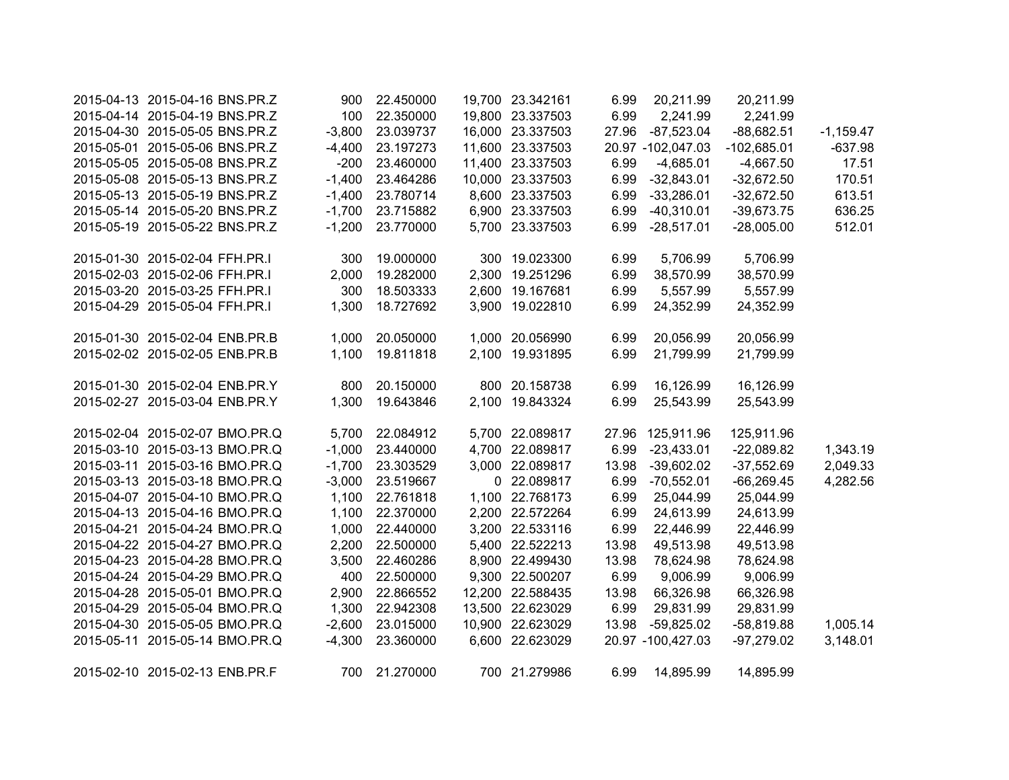| 2015-04-13 2015-04-16 BNS.PR.Z | 900      | 22.450000 | 19,700 23.342161 | 6.99  | 20,211.99         | 20,211.99     |             |
|--------------------------------|----------|-----------|------------------|-------|-------------------|---------------|-------------|
| 2015-04-14 2015-04-19 BNS.PR.Z | 100      | 22.350000 | 19,800 23.337503 | 6.99  | 2,241.99          | 2,241.99      |             |
| 2015-04-30 2015-05-05 BNS.PR.Z | $-3,800$ | 23.039737 | 16,000 23.337503 | 27.96 | $-87,523.04$      | $-88,682.51$  | $-1,159.47$ |
| 2015-05-01 2015-05-06 BNS.PR.Z | $-4,400$ | 23.197273 | 11,600 23.337503 |       | 20.97 -102,047.03 | $-102,685.01$ | $-637.98$   |
| 2015-05-05 2015-05-08 BNS.PR.Z | $-200$   | 23.460000 | 11,400 23.337503 | 6.99  | $-4,685.01$       | $-4,667.50$   | 17.51       |
| 2015-05-08 2015-05-13 BNS.PR.Z | $-1,400$ | 23.464286 | 10,000 23.337503 | 6.99  | $-32,843.01$      | $-32,672.50$  | 170.51      |
| 2015-05-13 2015-05-19 BNS.PR.Z | $-1,400$ | 23.780714 | 8,600 23.337503  | 6.99  | $-33,286.01$      | $-32,672.50$  | 613.51      |
| 2015-05-14 2015-05-20 BNS.PR.Z | $-1,700$ | 23.715882 | 6,900 23.337503  | 6.99  | $-40,310.01$      | $-39,673.75$  | 636.25      |
| 2015-05-19 2015-05-22 BNS.PR.Z | $-1,200$ | 23.770000 | 5,700 23.337503  | 6.99  | $-28,517.01$      | $-28,005.00$  | 512.01      |
| 2015-01-30 2015-02-04 FFH.PR.I | 300      | 19.000000 | 300 19.023300    | 6.99  | 5,706.99          | 5,706.99      |             |
| 2015-02-03 2015-02-06 FFH.PR.I | 2,000    | 19.282000 | 2,300 19.251296  | 6.99  | 38,570.99         | 38,570.99     |             |
| 2015-03-20 2015-03-25 FFH.PR.I | 300      | 18.503333 | 2,600 19.167681  | 6.99  | 5,557.99          | 5,557.99      |             |
| 2015-04-29 2015-05-04 FFH.PR.I | 1,300    | 18.727692 | 3,900 19.022810  | 6.99  | 24,352.99         | 24,352.99     |             |
| 2015-01-30 2015-02-04 ENB.PR.B | 1,000    | 20.050000 | 1,000 20.056990  | 6.99  | 20,056.99         | 20,056.99     |             |
| 2015-02-02 2015-02-05 ENB.PR.B | 1,100    | 19.811818 | 2,100 19.931895  | 6.99  | 21,799.99         | 21,799.99     |             |
| 2015-01-30 2015-02-04 ENB.PR.Y | 800      | 20.150000 | 800 20.158738    | 6.99  | 16,126.99         | 16,126.99     |             |
| 2015-02-27 2015-03-04 ENB.PR.Y | 1,300    | 19.643846 | 2,100 19.843324  | 6.99  | 25,543.99         | 25,543.99     |             |
| 2015-02-04 2015-02-07 BMO.PR.Q | 5,700    | 22.084912 | 5,700 22.089817  | 27.96 | 125,911.96        | 125,911.96    |             |
| 2015-03-10 2015-03-13 BMO.PR.Q | $-1,000$ | 23.440000 | 4,700 22.089817  | 6.99  | $-23,433.01$      | $-22,089.82$  | 1,343.19    |
| 2015-03-11 2015-03-16 BMO.PR.Q | $-1,700$ | 23.303529 | 3,000 22.089817  | 13.98 | $-39,602.02$      | $-37,552.69$  | 2,049.33    |
| 2015-03-13 2015-03-18 BMO.PR.Q | $-3,000$ | 23.519667 | 0 22.089817      | 6.99  | $-70,552.01$      | $-66,269.45$  | 4,282.56    |
| 2015-04-07 2015-04-10 BMO.PR.Q | 1,100    | 22.761818 | 1,100 22.768173  | 6.99  | 25,044.99         | 25,044.99     |             |
| 2015-04-13 2015-04-16 BMO.PR.Q | 1,100    | 22.370000 | 2,200 22.572264  | 6.99  | 24,613.99         | 24,613.99     |             |
| 2015-04-21 2015-04-24 BMO.PR.Q | 1,000    | 22.440000 | 3,200 22.533116  | 6.99  | 22,446.99         | 22,446.99     |             |
| 2015-04-22 2015-04-27 BMO.PR.Q | 2,200    | 22.500000 | 5,400 22.522213  | 13.98 | 49,513.98         | 49,513.98     |             |
| 2015-04-23 2015-04-28 BMO.PR.Q | 3,500    | 22.460286 | 8,900 22.499430  | 13.98 | 78,624.98         | 78,624.98     |             |
| 2015-04-24 2015-04-29 BMO.PR.Q | 400      | 22.500000 | 9,300 22.500207  | 6.99  | 9,006.99          | 9,006.99      |             |
| 2015-04-28 2015-05-01 BMO.PR.Q | 2,900    | 22.866552 | 12,200 22.588435 | 13.98 | 66,326.98         | 66,326.98     |             |
| 2015-04-29 2015-05-04 BMO.PR.Q | 1,300    | 22.942308 | 13,500 22.623029 | 6.99  | 29,831.99         | 29,831.99     |             |
| 2015-04-30 2015-05-05 BMO.PR.Q | $-2,600$ | 23.015000 | 10,900 22.623029 | 13.98 | $-59,825.02$      | $-58,819.88$  | 1,005.14    |
| 2015-05-11 2015-05-14 BMO.PR.Q | $-4,300$ | 23.360000 | 6,600 22.623029  |       | 20.97 -100,427.03 | $-97,279.02$  | 3,148.01    |
| 2015-02-10 2015-02-13 ENB.PR.F | 700      | 21.270000 | 700 21.279986    | 6.99  | 14,895.99         | 14,895.99     |             |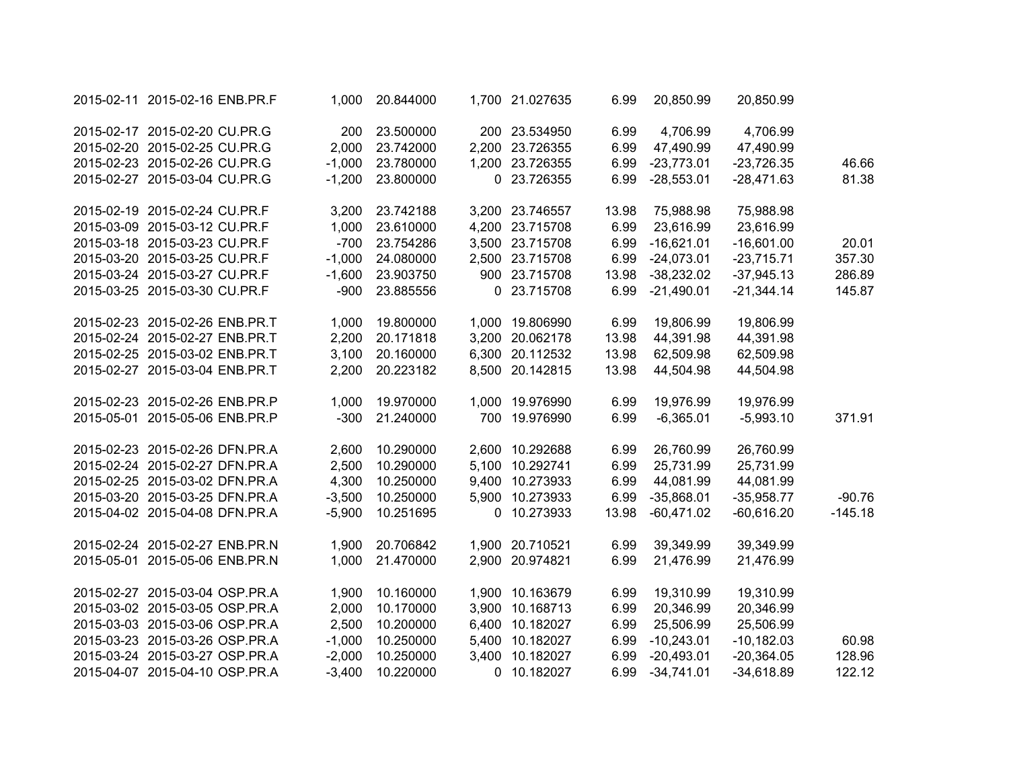| 2015-02-11 2015-02-16 ENB.PR.F | 1,000    | 20.844000 |       | 1,700 21.027635 | 6.99  | 20,850.99    | 20,850.99    |           |
|--------------------------------|----------|-----------|-------|-----------------|-------|--------------|--------------|-----------|
| 2015-02-17 2015-02-20 CU.PR.G  | 200      | 23.500000 |       | 200 23.534950   | 6.99  | 4,706.99     | 4,706.99     |           |
| 2015-02-20 2015-02-25 CU.PR.G  | 2,000    | 23.742000 |       | 2,200 23.726355 | 6.99  | 47,490.99    | 47,490.99    |           |
| 2015-02-23 2015-02-26 CU.PR.G  | $-1,000$ | 23.780000 |       | 1,200 23.726355 | 6.99  | $-23,773.01$ | $-23,726.35$ | 46.66     |
| 2015-02-27 2015-03-04 CU.PR.G  | $-1,200$ | 23.800000 |       | 0 23.726355     | 6.99  | $-28,553.01$ | $-28,471.63$ | 81.38     |
| 2015-02-19 2015-02-24 CU.PR.F  | 3,200    | 23.742188 |       | 3,200 23.746557 | 13.98 | 75,988.98    | 75,988.98    |           |
| 2015-03-09 2015-03-12 CU.PR.F  | 1,000    | 23.610000 |       | 4,200 23.715708 | 6.99  | 23,616.99    | 23,616.99    |           |
| 2015-03-18 2015-03-23 CU.PR.F  | $-700$   | 23.754286 |       | 3,500 23.715708 | 6.99  | $-16,621.01$ | $-16,601.00$ | 20.01     |
| 2015-03-20 2015-03-25 CU.PR.F  | $-1,000$ | 24.080000 |       | 2,500 23.715708 | 6.99  | $-24,073.01$ | $-23,715.71$ | 357.30    |
| 2015-03-24 2015-03-27 CU.PR.F  | $-1,600$ | 23.903750 |       | 900 23.715708   | 13.98 | $-38,232.02$ | $-37,945.13$ | 286.89    |
| 2015-03-25 2015-03-30 CU.PR.F  | $-900$   | 23.885556 |       | 0 23.715708     | 6.99  | $-21,490.01$ | $-21,344.14$ | 145.87    |
| 2015-02-23 2015-02-26 ENB.PR.T | 1,000    | 19.800000 |       | 1,000 19.806990 | 6.99  | 19,806.99    | 19,806.99    |           |
| 2015-02-24 2015-02-27 ENB.PR.T | 2,200    | 20.171818 |       | 3,200 20.062178 | 13.98 | 44,391.98    | 44,391.98    |           |
| 2015-02-25 2015-03-02 ENB.PR.T | 3,100    | 20.160000 |       | 6,300 20.112532 | 13.98 | 62,509.98    | 62,509.98    |           |
| 2015-02-27 2015-03-04 ENB.PR.T | 2,200    | 20.223182 |       | 8,500 20.142815 | 13.98 | 44,504.98    | 44,504.98    |           |
| 2015-02-23 2015-02-26 ENB.PR.P | 1,000    | 19.970000 |       | 1,000 19.976990 | 6.99  | 19,976.99    | 19,976.99    |           |
| 2015-05-01 2015-05-06 ENB.PR.P | $-300$   | 21.240000 |       | 700 19.976990   | 6.99  | $-6,365.01$  | $-5,993.10$  | 371.91    |
| 2015-02-23 2015-02-26 DFN.PR.A | 2,600    | 10.290000 |       | 2,600 10.292688 | 6.99  | 26,760.99    | 26,760.99    |           |
| 2015-02-24 2015-02-27 DFN.PR.A | 2,500    | 10.290000 |       | 5,100 10.292741 | 6.99  | 25,731.99    | 25,731.99    |           |
| 2015-02-25 2015-03-02 DFN.PR.A | 4,300    | 10.250000 | 9,400 | 10.273933       | 6.99  | 44,081.99    | 44,081.99    |           |
| 2015-03-20 2015-03-25 DFN.PR.A | $-3,500$ | 10.250000 | 5,900 | 10.273933       | 6.99  | $-35,868.01$ | $-35,958.77$ | $-90.76$  |
| 2015-04-02 2015-04-08 DFN.PR.A | $-5,900$ | 10.251695 | 0     | 10.273933       | 13.98 | $-60,471.02$ | $-60,616.20$ | $-145.18$ |
| 2015-02-24 2015-02-27 ENB.PR.N | 1,900    | 20.706842 |       | 1,900 20.710521 | 6.99  | 39,349.99    | 39,349.99    |           |
| 2015-05-01 2015-05-06 ENB.PR.N | 1,000    | 21.470000 | 2,900 | 20.974821       | 6.99  | 21,476.99    | 21,476.99    |           |
| 2015-02-27 2015-03-04 OSP.PR.A | 1,900    | 10.160000 |       | 1,900 10.163679 | 6.99  | 19,310.99    | 19,310.99    |           |
| 2015-03-02 2015-03-05 OSP.PR.A | 2,000    | 10.170000 |       | 3,900 10.168713 | 6.99  | 20,346.99    | 20,346.99    |           |
| 2015-03-03 2015-03-06 OSP.PR.A | 2,500    | 10.200000 |       | 6,400 10.182027 | 6.99  | 25,506.99    | 25,506.99    |           |
| 2015-03-23 2015-03-26 OSP.PR.A | $-1,000$ | 10.250000 | 5,400 | 10.182027       | 6.99  | $-10,243.01$ | $-10,182.03$ | 60.98     |
| 2015-03-24 2015-03-27 OSP.PR.A | $-2,000$ | 10.250000 | 3,400 | 10.182027       | 6.99  | $-20,493.01$ | $-20,364.05$ | 128.96    |
| 2015-04-07 2015-04-10 OSP.PR.A | $-3,400$ | 10.220000 |       | 0 10.182027     | 6.99  | $-34,741.01$ | $-34,618.89$ | 122.12    |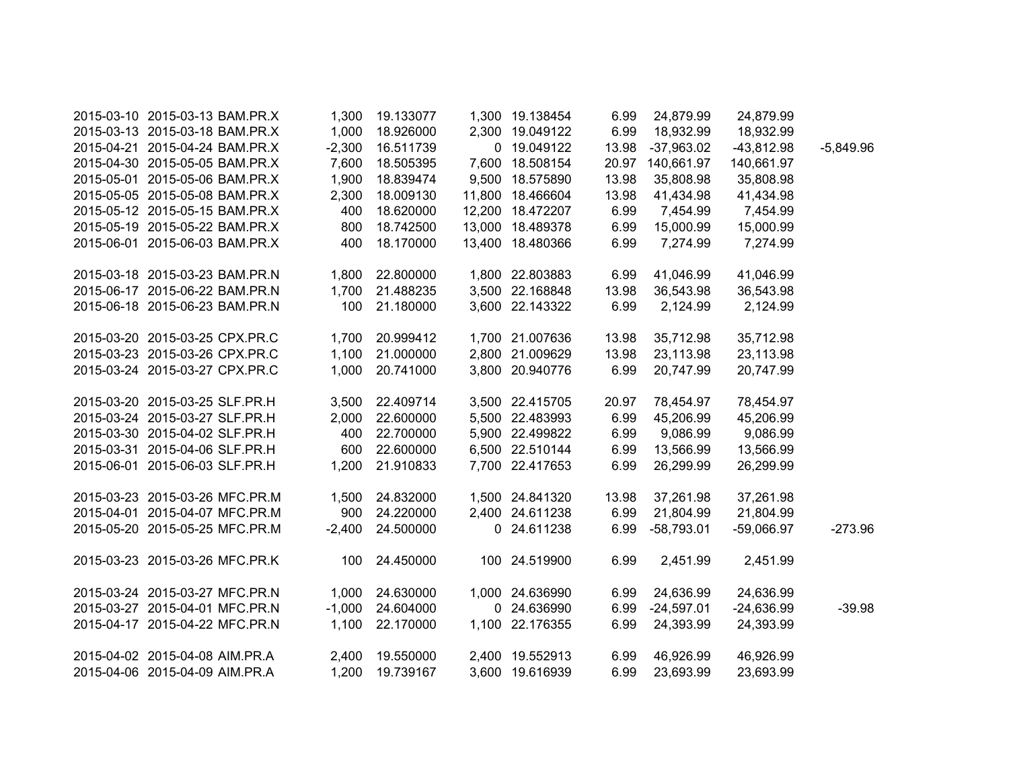| 2015-03-10 2015-03-13 BAM.PR.X | 1,300    | 19.133077 | 1,300 19.138454  | 6.99  | 24,879.99        | 24,879.99    |             |
|--------------------------------|----------|-----------|------------------|-------|------------------|--------------|-------------|
| 2015-03-13 2015-03-18 BAM.PR.X | 1,000    | 18.926000 | 2,300 19.049122  | 6.99  | 18,932.99        | 18,932.99    |             |
| 2015-04-21 2015-04-24 BAM.PR.X | $-2,300$ | 16.511739 | 0 19.049122      | 13.98 | $-37,963.02$     | $-43,812.98$ | $-5,849.96$ |
| 2015-04-30 2015-05-05 BAM.PR.X | 7,600    | 18.505395 | 7,600 18.508154  |       | 20.97 140,661.97 | 140,661.97   |             |
| 2015-05-01 2015-05-06 BAM.PR.X | 1,900    | 18.839474 | 9,500 18.575890  | 13.98 | 35,808.98        | 35,808.98    |             |
| 2015-05-05 2015-05-08 BAM.PR.X | 2,300    | 18.009130 | 11,800 18.466604 | 13.98 | 41,434.98        | 41,434.98    |             |
| 2015-05-12 2015-05-15 BAM.PR.X | 400      | 18.620000 | 12,200 18.472207 | 6.99  | 7,454.99         | 7,454.99     |             |
| 2015-05-19 2015-05-22 BAM.PR.X | 800      | 18.742500 | 13,000 18.489378 | 6.99  | 15,000.99        | 15,000.99    |             |
| 2015-06-01 2015-06-03 BAM.PR.X | 400      | 18.170000 | 13,400 18.480366 | 6.99  | 7,274.99         | 7,274.99     |             |
| 2015-03-18 2015-03-23 BAM.PR.N | 1,800    | 22.800000 | 1,800 22.803883  | 6.99  | 41,046.99        | 41,046.99    |             |
| 2015-06-17 2015-06-22 BAM.PR.N | 1,700    | 21.488235 | 3,500 22.168848  | 13.98 | 36,543.98        | 36,543.98    |             |
| 2015-06-18 2015-06-23 BAM.PR.N | 100      | 21.180000 | 3,600 22.143322  | 6.99  | 2,124.99         | 2,124.99     |             |
| 2015-03-20 2015-03-25 CPX.PR.C | 1,700    | 20.999412 | 1,700 21.007636  | 13.98 | 35,712.98        | 35,712.98    |             |
| 2015-03-23 2015-03-26 CPX.PR.C | 1,100    | 21.000000 | 2,800 21.009629  | 13.98 | 23,113.98        | 23,113.98    |             |
| 2015-03-24 2015-03-27 CPX.PR.C | 1,000    | 20.741000 | 3,800 20.940776  | 6.99  | 20,747.99        | 20,747.99    |             |
| 2015-03-20 2015-03-25 SLF.PR.H | 3,500    | 22.409714 | 3,500 22.415705  | 20.97 | 78,454.97        | 78,454.97    |             |
| 2015-03-24 2015-03-27 SLF.PR.H | 2,000    | 22.600000 | 5,500 22.483993  | 6.99  | 45,206.99        | 45,206.99    |             |
| 2015-03-30 2015-04-02 SLF.PR.H | 400      | 22.700000 | 5,900 22.499822  | 6.99  | 9,086.99         | 9,086.99     |             |
| 2015-03-31 2015-04-06 SLF.PR.H | 600      | 22.600000 | 6,500 22.510144  | 6.99  | 13,566.99        | 13,566.99    |             |
| 2015-06-01 2015-06-03 SLF.PR.H | 1,200    | 21.910833 | 7,700 22.417653  | 6.99  | 26,299.99        | 26,299.99    |             |
| 2015-03-23 2015-03-26 MFC.PR.M | 1,500    | 24.832000 | 1,500 24.841320  | 13.98 | 37,261.98        | 37,261.98    |             |
| 2015-04-01 2015-04-07 MFC.PR.M | 900      | 24.220000 | 2,400 24.611238  | 6.99  | 21,804.99        | 21,804.99    |             |
| 2015-05-20 2015-05-25 MFC.PR.M | $-2,400$ | 24.500000 | 0 24.611238      | 6.99  | $-58,793.01$     | $-59,066.97$ | $-273.96$   |
| 2015-03-23 2015-03-26 MFC.PR.K | 100      | 24.450000 | 100 24.519900    | 6.99  | 2,451.99         | 2,451.99     |             |
| 2015-03-24 2015-03-27 MFC.PR.N | 1,000    | 24.630000 | 1,000 24.636990  | 6.99  | 24,636.99        | 24,636.99    |             |
| 2015-03-27 2015-04-01 MFC.PR.N | $-1,000$ | 24.604000 | 0 24.636990      | 6.99  | $-24,597.01$     | $-24,636.99$ | $-39.98$    |
| 2015-04-17 2015-04-22 MFC.PR.N | 1,100    | 22.170000 | 1,100 22.176355  | 6.99  | 24,393.99        | 24,393.99    |             |
| 2015-04-02 2015-04-08 AIM.PR.A | 2,400    | 19.550000 | 2,400 19.552913  | 6.99  | 46,926.99        | 46,926.99    |             |
| 2015-04-06 2015-04-09 AIM.PR.A | 1,200    | 19.739167 | 3,600 19.616939  | 6.99  | 23,693.99        | 23,693.99    |             |